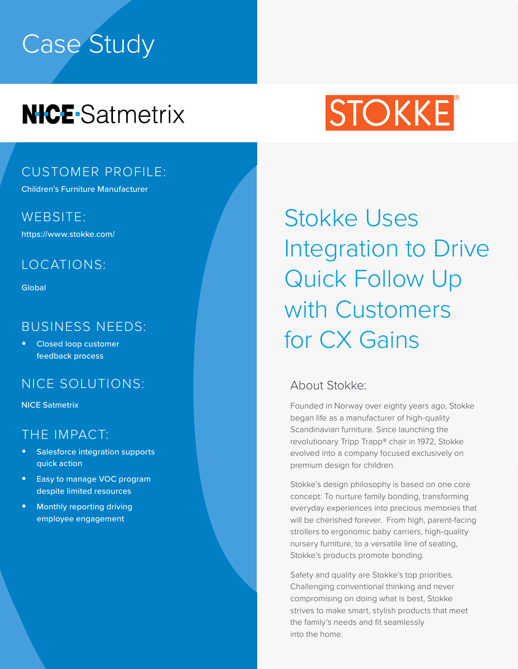# Case Study

# **NICE**-Satmetrix

# STOKKE

### CUSTOMER PROFILE:

Children's Furniture Manufacturer

WEBSITE:

https://www.stokke.com/

#### LOCATIONS:

**Global** 

#### BUSINESS NEEDS:

**•** Closed loop customer feedback process

### NICE SOLUTIONS:

NICE Satmetrix

#### THE IMPACT:

- **•** Salesforce integration supports quick action
- **•** Easy to manage VOC program despite limited resources
- **•** Monthly reporting driving employee engagement

Stokke Uses Integration to Drive Quick Follow Up with Customers for CX Gains

#### About Stokke:

Founded in Norway over eighty years ago, Stokke began life as a manufacturer of high-quality Scandinavian furniture. Since launching the revolutionary Tripp Trapp® chair in 1972, Stokke evolved into a company focused exclusively on premium design for children.

Stokke's design philosophy is based on one core concept: To nurture family bonding, transforming everyday experiences into precious memories that will be cherished forever. From high, parent-facing strollers to ergonomic baby carriers, high-quality nursery furniture, to a versatile line of seating, Stokke's products promote bonding.

Safety and quality are Stokke's top priorities. Challenging conventional thinking and never compromising on doing what is best, Stokke strives to make smart, stylish products that meet the family's needs and fit seamlessly into the home.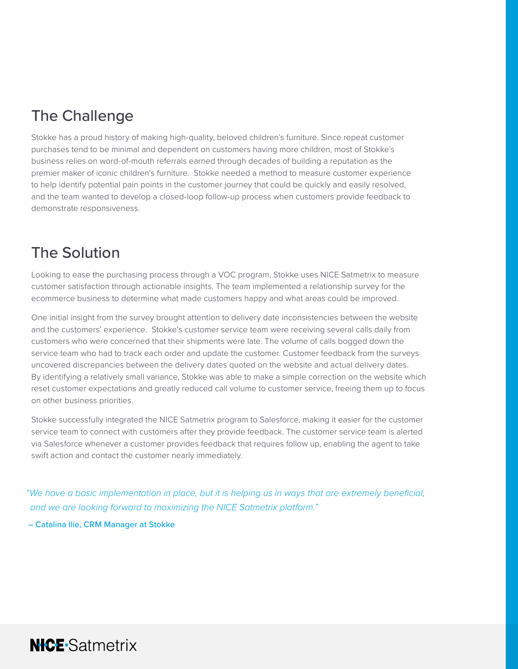# The Challenge

Stokke has a proud history of making high-quality, beloved children's furniture. Since repeat customer purchases tend to be minimal and dependent on customers having more children, most of Stokke's business relies on word-of-mouth referrals earned through decades of building a reputation as the premier maker of iconic children's furniture. Stokke needed a method to measure customer experience to help identify potential pain points in the customer journey that could be quickly and easily resolved, and the team wanted to develop a closed-loop follow-up process when customers provide feedback to demonstrate responsiveness.

# The Solution

Looking to ease the purchasing process through a VOC program, Stokke uses NICE Satmetrix to measure customer satisfaction through actionable insights. The team implemented a relationship survey for the ecommerce business to determine what made customers happy and what areas could be improved.

One initial insight from the survey brought attention to delivery date inconsistencies between the website and the customers' experience. Stokke's customer service team were receiving several calls daily from customers who were concerned that their shipments were late. The volume of calls bogged down the service team who had to track each order and update the customer. Customer feedback from the surveys uncovered discrepancies between the delivery dates quoted on the website and actual delivery dates. By identifying a relatively small variance, Stokke was able to make a simple correction on the website which reset customer expectations and greatly reduced call volume to customer service, freeing them up to focus on other business priorities.

Stokke successfully integrated the NICE Satmetrix program to Salesforce, making it easier for the customer service team to connect with customers after they provide feedback. The customer service team is alerted via Salesforce whenever a customer provides feedback that requires follow up, enabling the agent to take swift action and contact the customer nearly immediately.

*"We have a basic implementation in place, but it is helping us in ways that are extremely beneficial, and we are looking forward to maximizing the NICE Satmetrix platform."*

– Catalina Ilie, CRM Manager at Stokke

**NICE**-Satmetrix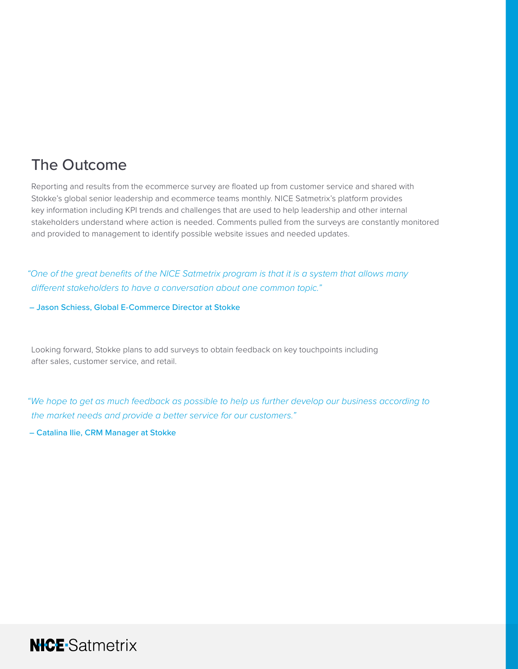# The Outcome

Reporting and results from the ecommerce survey are floated up from customer service and shared with Stokke's global senior leadership and ecommerce teams monthly. NICE Satmetrix's platform provides key information including KPI trends and challenges that are used to help leadership and other internal stakeholders understand where action is needed. Comments pulled from the surveys are constantly monitored and provided to management to identify possible website issues and needed updates.

*"One of the great benefits of the NICE Satmetrix program is that it is a system that allows many different stakeholders to have a conversation about one common topic."* 

– Jason Schiess, Global E-Commerce Director at Stokke

Looking forward, Stokke plans to add surveys to obtain feedback on key touchpoints including after sales, customer service, and retail.

*"We hope to get as much feedback as possible to help us further develop our business according to the market needs and provide a better service for our customers."* 

– Catalina Ilie, CRM Manager at Stokke

**NICE**-Satmetrix